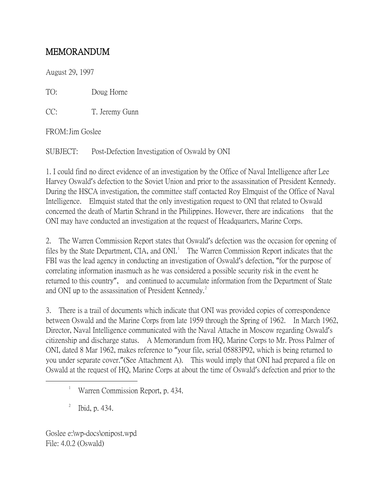## MEMORANDUM

August 29, 1997

TO: Doug Horne

CC: T. Jeremy Gunn

FROM:Jim Goslee

SUBJECT: Post-Defection Investigation of Oswald by ONI

1. I could find no direct evidence of an investigation by the Office of Naval Intelligence after Lee Harvey Oswald's defection to the Soviet Union and prior to the assassination of President Kennedy. During the HSCA investigation, the committee staff contacted Roy Elmquist of the Office of Naval Intelligence. Elmquist stated that the only investigation request to ONI that related to Oswald concerned the death of Martin Schrand in the Philippines. However, there are indications that the ONI may have conducted an investigation at the request of Headquarters, Marine Corps.

2. The Warren Commission Report states that Oswald's defection was the occasion for opening of files by the State Department, CIA, and  $ONI<sup>1</sup>$  $ONI<sup>1</sup>$  $ONI<sup>1</sup>$  The Warren Commission Report indicates that the FBI was the lead agency in conducting an investigation of Oswald's defection, "for the purpose of correlating information inasmuch as he was considered a possible security risk in the event he returned to this country", and continued to accumulate information from the Department of State and ONI up to the assassination of President Kennedy. $^{2}$  $^{2}$  $^{2}$ 

3. There is a trail of documents which indicate that ONI was provided copies of correspondence between Oswald and the Marine Corps from late 1959 through the Spring of 1962. In March 1962, Director, Naval Intelligence communicated with the Naval Attache in Moscow regarding Oswald's citizenship and discharge status. A Memorandum from HQ, Marine Corps to Mr. Pross Palmer of ONI, dated 8 Mar 1962, makes reference to "your file, serial 05883P92, which is being returned to you under separate cover."(See Attachment A). This would imply that ONI had prepared a file on Oswald at the request of HQ, Marine Corps at about the time of Oswald's defection and prior to the

2 Ibid, p. 434.

<span id="page-0-1"></span><span id="page-0-0"></span><sup>&</sup>lt;u>1</u> <sup>1</sup> Warren Commission Report, p. 434.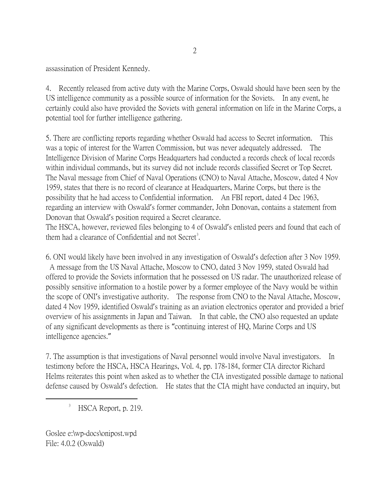assassination of President Kennedy.

4. Recently released from active duty with the Marine Corps, Oswald should have been seen by the US intelligence community as a possible source of information for the Soviets. In any event, he certainly could also have provided the Soviets with general information on life in the Marine Corps, a potential tool for further intelligence gathering.

5. There are conflicting reports regarding whether Oswald had access to Secret information. This was a topic of interest for the Warren Commission, but was never adequately addressed. The Intelligence Division of Marine Corps Headquarters had conducted a records check of local records within individual commands, but its survey did not include records classified Secret or Top Secret. The Naval message from Chief of Naval Operations (CNO) to Naval Attache, Moscow, dated 4 Nov 1959, states that there is no record of clearance at Headquarters, Marine Corps, but there is the possibility that he had access to Confidential information. An FBI report, dated 4 Dec 1963, regarding an interview with Oswald's former commander, John Donovan, contains a statement from Donovan that Oswald's position required a Secret clearance.

The HSCA, however, reviewed files belonging to 4 of Oswald's enlisted peers and found that each of them had a clearance of Confidential and not Secret<sup>[3](#page-1-0)</sup>.

6. ONI would likely have been involved in any investigation of Oswald's defection after 3 Nov 1959. A message from the US Naval Attache, Moscow to CNO, dated 3 Nov 1959, stated Oswald had offered to provide the Soviets information that he possessed on US radar. The unauthorized release of possibly sensitive information to a hostile power by a former employee of the Navy would be within the scope of ONI's investigative authority. The response from CNO to the Naval Attache, Moscow, dated 4 Nov 1959, identified Oswald's training as an aviation electronics operator and provided a brief overview of his assignments in Japan and Taiwan. In that cable, the CNO also requested an update of any significant developments as there is "continuing interest of HQ, Marine Corps and US intelligence agencies."

7. The assumption is that investigations of Naval personnel would involve Naval investigators. In testimony before the HSCA, HSCA Hearings, Vol. 4, pp. 178-184, former CIA director Richard Helms reiterates this point when asked as to whether the CIA investigated possible damage to national defense caused by Oswald's defection. He states that the CIA might have conducted an inquiry, but

<span id="page-1-0"></span> $\frac{1}{3}$  $<sup>3</sup>$  HSCA Report, p. 219.</sup>